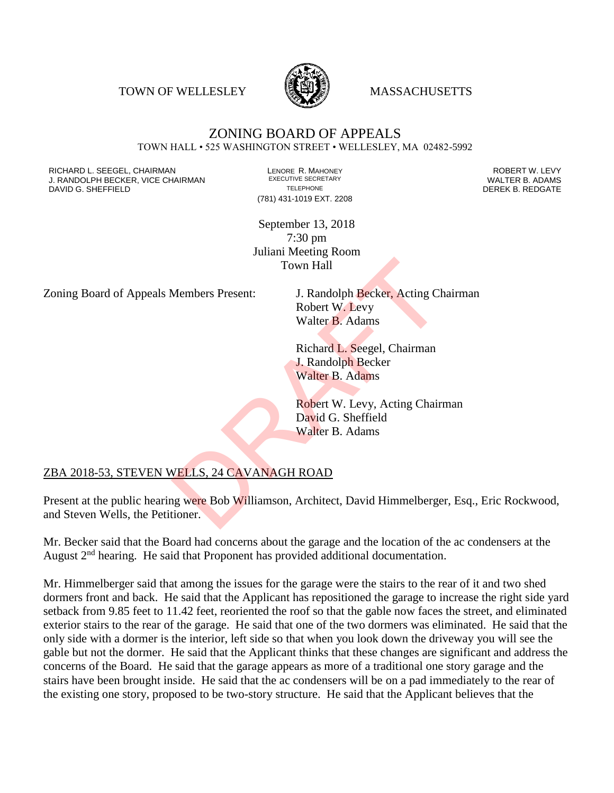TOWN OF WELLESLEY **WASSACHUSETTS** 



## ZONING BOARD OF APPEALS TOWN HALL • 525 WASHINGTON STREET • WELLESLEY, MA 02482-5992

RICHARD L. SEEGEL, CHAIRMAN LENORE R. MAHONEY ROBERT W. LEVY J. RANDOLPH BECKER, VICE CHAIRMAN EXECUTIVE SECRETARY OF TELEPHONE DAVID G. SHEFFIELD **TELEPHONE** TELEPHONE TELEPHONE **TELEPHONE DEREK B. REDGATE** 

(781) 431-1019 EXT. 2208

September 13, 2018 7:30 pm Juliani Meeting Room Town Hall

Zoning Board of Appeals Members Present: J. Randolph Becker, Acting Chairman

Robert W. Levy Walter B. Adams

Richard L. Seegel, Chairman J. Randolph Becker Walter B. Adams

Robert W. Levy, Acting Chairman David G. Sheffield Walter B. Adams

## ZBA 2018-53, STEVEN WELLS, 24 CAVANAGH ROAD

Present at the public hearing were Bob Williamson, Architect, David Himmelberger, Esq., Eric Rockwood, and Steven Wells, the Petitioner. Town Hall<br>
Members Present: J. Randolph Becker, Acting Ch<br>
Robert W. Levy<br>
Walter B. Adams<br>
Richard L. Seegel, Chairman<br>
J. Randolph Becker<br>
Walter B. Adams<br>
Robert W. Levy, Acting Chair<br>
David G. Sheffield<br>
Walter B. Adam

Mr. Becker said that the Board had concerns about the garage and the location of the ac condensers at the August  $2<sup>nd</sup>$  hearing. He said that Proponent has provided additional documentation.

Mr. Himmelberger said that among the issues for the garage were the stairs to the rear of it and two shed dormers front and back. He said that the Applicant has repositioned the garage to increase the right side yard setback from 9.85 feet to 11.42 feet, reoriented the roof so that the gable now faces the street, and eliminated exterior stairs to the rear of the garage. He said that one of the two dormers was eliminated. He said that the only side with a dormer is the interior, left side so that when you look down the driveway you will see the gable but not the dormer. He said that the Applicant thinks that these changes are significant and address the concerns of the Board. He said that the garage appears as more of a traditional one story garage and the stairs have been brought inside. He said that the ac condensers will be on a pad immediately to the rear of the existing one story, proposed to be two-story structure. He said that the Applicant believes that the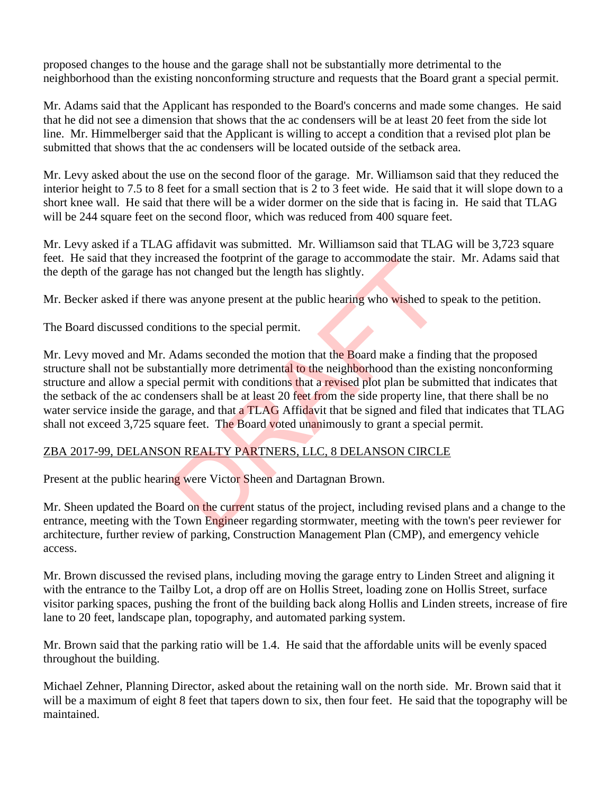proposed changes to the house and the garage shall not be substantially more detrimental to the neighborhood than the existing nonconforming structure and requests that the Board grant a special permit.

Mr. Adams said that the Applicant has responded to the Board's concerns and made some changes. He said that he did not see a dimension that shows that the ac condensers will be at least 20 feet from the side lot line. Mr. Himmelberger said that the Applicant is willing to accept a condition that a revised plot plan be submitted that shows that the ac condensers will be located outside of the setback area.

Mr. Levy asked about the use on the second floor of the garage. Mr. Williamson said that they reduced the interior height to 7.5 to 8 feet for a small section that is 2 to 3 feet wide. He said that it will slope down to a short knee wall. He said that there will be a wider dormer on the side that is facing in. He said that TLAG will be 244 square feet on the second floor, which was reduced from 400 square feet.

Mr. Levy asked if a TLAG affidavit was submitted. Mr. Williamson said that TLAG will be 3,723 square feet. He said that they increased the footprint of the garage to accommodate the stair. Mr. Adams said that the depth of the garage has not changed but the length has slightly.

Mr. Becker asked if there was anyone present at the public hearing who wished to speak to the petition.

The Board discussed conditions to the special permit.

Mr. Levy moved and Mr. Adams seconded the motion that the Board make a finding that the proposed structure shall not be substantially more detrimental to the neighborhood than the existing nonconforming structure and allow a special permit with conditions that a revised plot plan be submitted that indicates that the setback of the ac condensers shall be at least 20 feet from the side property line, that there shall be no water service inside the garage, and that a TLAG Affidavit that be signed and filed that indicates that TLAG shall not exceed 3,725 square feet. The Board voted unanimously to grant a special permit. reased the footprint of the garage to accommodate the stand to thanged but the length has slightly.<br>
was anyone present at the public hearing who wished to s<br>
itions to the special permit.<br>
Adams seconded the motion that t

## ZBA 2017-99, DELANSON REALTY PARTNERS, LLC, 8 DELANSON CIRCLE

Present at the public hearing were Victor Sheen and Dartagnan Brown.

Mr. Sheen updated the Board on the current status of the project, including revised plans and a change to the entrance, meeting with the Town Engineer regarding stormwater, meeting with the town's peer reviewer for architecture, further review of parking, Construction Management Plan (CMP), and emergency vehicle access.

Mr. Brown discussed the revised plans, including moving the garage entry to Linden Street and aligning it with the entrance to the Tailby Lot, a drop off are on Hollis Street, loading zone on Hollis Street, surface visitor parking spaces, pushing the front of the building back along Hollis and Linden streets, increase of fire lane to 20 feet, landscape plan, topography, and automated parking system.

Mr. Brown said that the parking ratio will be 1.4. He said that the affordable units will be evenly spaced throughout the building.

Michael Zehner, Planning Director, asked about the retaining wall on the north side. Mr. Brown said that it will be a maximum of eight 8 feet that tapers down to six, then four feet. He said that the topography will be maintained.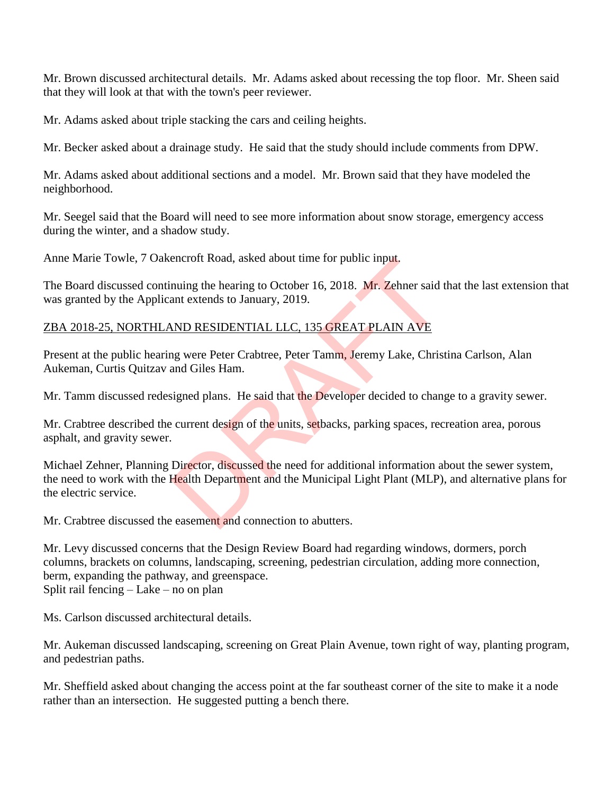Mr. Brown discussed architectural details. Mr. Adams asked about recessing the top floor. Mr. Sheen said that they will look at that with the town's peer reviewer.

Mr. Adams asked about triple stacking the cars and ceiling heights.

Mr. Becker asked about a drainage study. He said that the study should include comments from DPW.

Mr. Adams asked about additional sections and a model. Mr. Brown said that they have modeled the neighborhood.

Mr. Seegel said that the Board will need to see more information about snow storage, emergency access during the winter, and a shadow study.

Anne Marie Towle, 7 Oakencroft Road, asked about time for public input.

The Board discussed continuing the hearing to October 16, 2018. Mr. Zehner said that the last extension that was granted by the Applicant extends to January, 2019.

## ZBA 2018-25, NORTHLAND RESIDENTIAL LLC, 135 GREAT PLAIN AVE

Present at the public hearing were Peter Crabtree, Peter Tamm, Jeremy Lake, Christina Carlson, Alan Aukeman, Curtis Quitzav and Giles Ham.

Mr. Tamm discussed redesigned plans. He said that the Developer decided to change to a gravity sewer.

Mr. Crabtree described the current design of the units, setbacks, parking spaces, recreation area, porous asphalt, and gravity sewer.

Michael Zehner, Planning Director, discussed the need for additional information about the sewer system, the need to work with the Health Department and the Municipal Light Plant (MLP), and alternative plans for the electric service. encroft Road, asked about time for public input.<br>
nuing the hearing to October 16, 2018. Mr. Zehner said<br>
ant extends to January, 2019.<br>
ND RESIDENTIAL LLC, 135 GREAT PLAIN AVE<br>
ng were Peter Crabtree, Peter Tamm, Jeremy L

Mr. Crabtree discussed the easement and connection to abutters.

Mr. Levy discussed concerns that the Design Review Board had regarding windows, dormers, porch columns, brackets on columns, landscaping, screening, pedestrian circulation, adding more connection, berm, expanding the pathway, and greenspace. Split rail fencing – Lake – no on plan

Ms. Carlson discussed architectural details.

Mr. Aukeman discussed landscaping, screening on Great Plain Avenue, town right of way, planting program, and pedestrian paths.

Mr. Sheffield asked about changing the access point at the far southeast corner of the site to make it a node rather than an intersection. He suggested putting a bench there.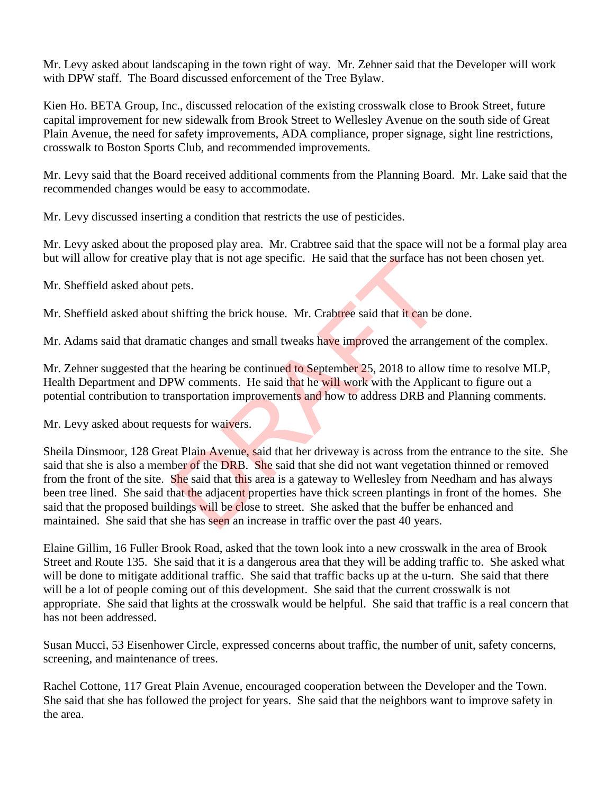Mr. Levy asked about landscaping in the town right of way. Mr. Zehner said that the Developer will work with DPW staff. The Board discussed enforcement of the Tree Bylaw.

Kien Ho. BETA Group, Inc., discussed relocation of the existing crosswalk close to Brook Street, future capital improvement for new sidewalk from Brook Street to Wellesley Avenue on the south side of Great Plain Avenue, the need for safety improvements, ADA compliance, proper signage, sight line restrictions, crosswalk to Boston Sports Club, and recommended improvements.

Mr. Levy said that the Board received additional comments from the Planning Board. Mr. Lake said that the recommended changes would be easy to accommodate.

Mr. Levy discussed inserting a condition that restricts the use of pesticides.

Mr. Levy asked about the proposed play area. Mr. Crabtree said that the space will not be a formal play area but will allow for creative play that is not age specific. He said that the surface has not been chosen yet.

Mr. Sheffield asked about pets.

Mr. Sheffield asked about shifting the brick house. Mr. Crabtree said that it can be done.

Mr. Adams said that dramatic changes and small tweaks have improved the arrangement of the complex.

Mr. Zehner suggested that the hearing be continued to September 25, 2018 to allow time to resolve MLP, Health Department and DPW comments. He said that he will work with the Applicant to figure out a potential contribution to transportation improvements and how to address DRB and Planning comments.

Mr. Levy asked about requests for waivers.

Sheila Dinsmoor, 128 Great Plain Avenue, said that her driveway is across from the entrance to the site. She said that she is also a member of the DRB. She said that she did not want vegetation thinned or removed from the front of the site. She said that this area is a gateway to Wellesley from Needham and has always been tree lined. She said that the adjacent properties have thick screen plantings in front of the homes. She said that the proposed buildings will be close to street. She asked that the buffer be enhanced and maintained. She said that she has seen an increase in traffic over the past 40 years. play that is not age specific. He said that the surface has<br>pets.<br>shifting the brick house. Mr. Crabtree said that it can be<br>attic changes and small tweaks have improved the arrange<br>the hearing be continued to September 25

Elaine Gillim, 16 Fuller Brook Road, asked that the town look into a new crosswalk in the area of Brook Street and Route 135. She said that it is a dangerous area that they will be adding traffic to. She asked what will be done to mitigate additional traffic. She said that traffic backs up at the u-turn. She said that there will be a lot of people coming out of this development. She said that the current crosswalk is not appropriate. She said that lights at the crosswalk would be helpful. She said that traffic is a real concern that has not been addressed.

Susan Mucci, 53 Eisenhower Circle, expressed concerns about traffic, the number of unit, safety concerns, screening, and maintenance of trees.

Rachel Cottone, 117 Great Plain Avenue, encouraged cooperation between the Developer and the Town. She said that she has followed the project for years. She said that the neighbors want to improve safety in the area.